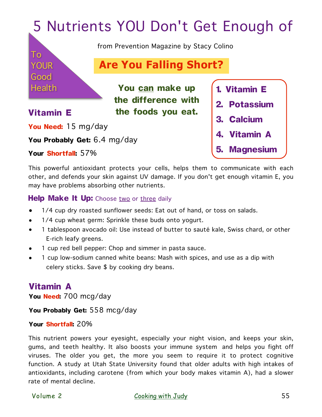# 5 Nutrients YOU Don't Get Enough of

from Prevention Magazine by Stacy Colino

 **1. Vitamin E** 

**3. Calcium** 

**4. Vitamin A** 

**5. Magnesium**

**2. Potassium** 

## **Are You Falling Short?**

**You can make up the difference with Vitamin E** the foods you eat.

To

YOUR

Good

**Health** 

**You Need:** 15 mg/day

**You Probably Get:** 6.4 mg/day

**Your Shortfall:** 57%

This powerful antioxidant protects your cells, helps them to communicate with each other, and defends your skin against UV damage. If you don't get enough vitamin E, you may have problems absorbing other nutrients.

#### **Help Make It Up:** Choose two or three daily

- 1/4 cup dry roasted sunflower seeds: Eat out of hand, or toss on salads.
- 1/4 cup wheat germ: Sprinkle these buds onto yogurt.
- 1 tablespoon avocado oil: Use instead of butter to sauté kale, Swiss chard, or other E-rich leafy greens.
- 1 cup red bell pepper: Chop and simmer in pasta sauce.
- 1 cup low-sodium canned white beans: Mash with spices, and use as a dip with celery sticks. Save \$ by cooking dry beans.

## **Vitamin A**

**You Need:** 700 mcg/day

**You Probably Get:** 558 mcg/day

#### **Your Shortfall:** 20%

This nutrient powers your eyesight, especially your night vision, and keeps your skin, gums, and teeth healthy. It also boosts your immune system and helps you fight off viruses. The older you get, the more you seem to require it to protect cognitive function. A study at Utah State University found that older adults with high intakes of antioxidants, including carotene (from which your body makes vitamin A), had a slower rate of mental decline.

Volume 2 [Cooking with Judy](https://www.magcloud.com/user/cookingwithjudy)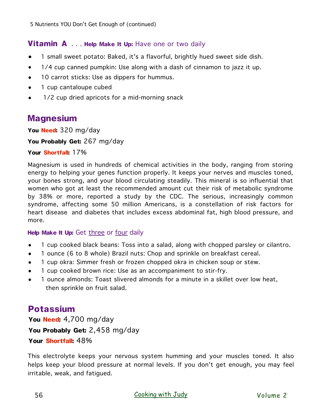#### **Vitamin A** . . . **Help Make It Up:** Have one or two daily

- 1 small sweet potato: Baked, it's a flavorful, brightly hued sweet side dish.
- 1/4 cup canned pumpkin: Use along with a dash of cinnamon to jazz it up.
- 10 carrot sticks: Use as dippers for hummus.
- 1 cup cantaloupe cubed
- 1/2 cup dried apricots for a mid-morning snack

### **Magnesium**

**You Need:** 320 mg/day

**You Probably Get:** 267 mg/day

**Your Shortfall:** 17%

Magnesium is used in hundreds of chemical activities in the body, ranging from storing energy to helping your genes function properly. It keeps your nerves and muscles toned, your bones strong, and your blood circulating steadily. This mineral is so influential that women who got at least the recommended amount cut their risk of metabolic syndrome by 38% or more, reported a study by the CDC. The serious, increasingly common syndrome, affecting some 50 million Americans, is a constellation of risk factors for heart disease and diabetes that includes excess abdominal fat, high blood pressure, and more.

#### **Help Make It Up:** Get three or four daily

- 1 cup cooked black beans: Toss into a salad, along with chopped parsley or cilantro.
- 1 ounce (6 to 8 whole) Brazil nuts: Chop and sprinkle on breakfast cereal.
- 1 cup okra: Simmer fresh or frozen chopped okra in chicken soup or stew.
- 1 cup cooked brown rice: Use as an accompaniment to stir-fry.
- 1 ounce almonds: Toast slivered almonds for a minute in a skillet over low heat, then sprinkle on fruit salad.

## **Potassium**

**You Need:** 4,700 mg/day **You Probably Get:** 2,458 mg/day **Your Shortfall:** 48%

This electrolyte keeps your nervous system humming and your muscles toned. It also helps keep your blood pressure at normal levels. If you don't get enough, you may feel irritable, weak, and fatigued.